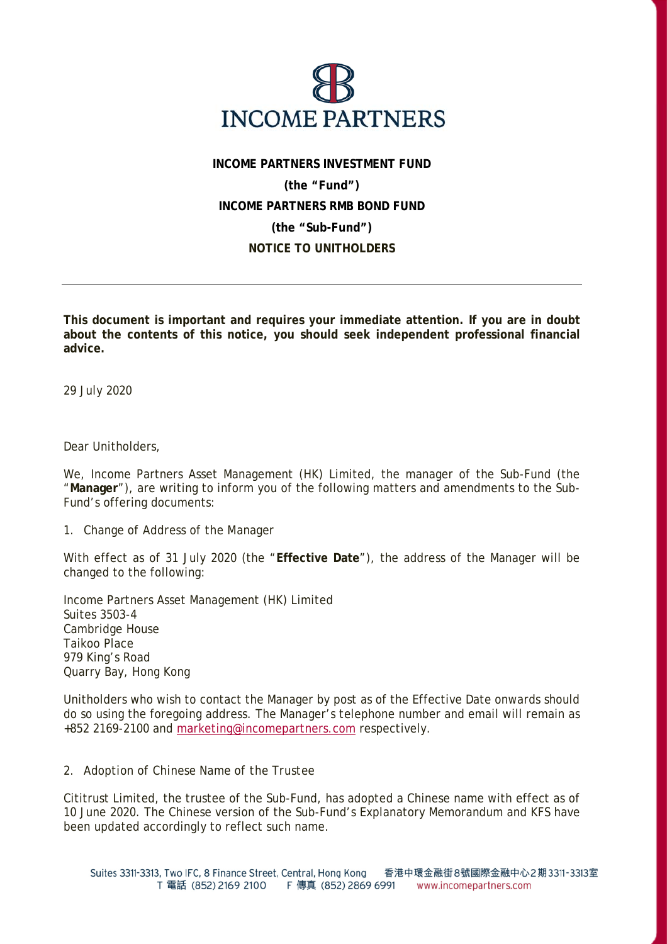

## **INCOME PARTNERS INVESTMENT FUND (the "Fund") INCOME PARTNERS RMB BOND FUND (the "Sub-Fund") NOTICE TO UNITHOLDERS**

**This document is important and requires your immediate attention. If you are in doubt about the contents of this notice, you should seek independent professional financial advice.** 

29 July 2020

Dear Unitholders,

We, Income Partners Asset Management (HK) Limited, the manager of the Sub-Fund (the "**Manager**"), are writing to inform you of the following matters and amendments to the Sub-Fund's offering documents:

## *1. Change of Address of the Manager*

With effect as of 31 July 2020 (the "**Effective Date**"), the address of the Manager will be changed to the following:

Income Partners Asset Management (HK) Limited Suites 3503-4 Cambridge House Taikoo Place 979 King's Road Quarry Bay, Hong Kong

Unitholders who wish to contact the Manager by post as of the Effective Date onwards should do so using the foregoing address. The Manager's telephone number and email will remain as +852 2169-2100 and marketing@incomepartners.com respectively.

## *2. Adoption of Chinese Name of the Trustee*

Cititrust Limited, the trustee of the Sub-Fund, has adopted a Chinese name with effect as of 10 June 2020. The Chinese version of the Sub-Fund's Explanatory Memorandum and KFS have been updated accordingly to reflect such name.